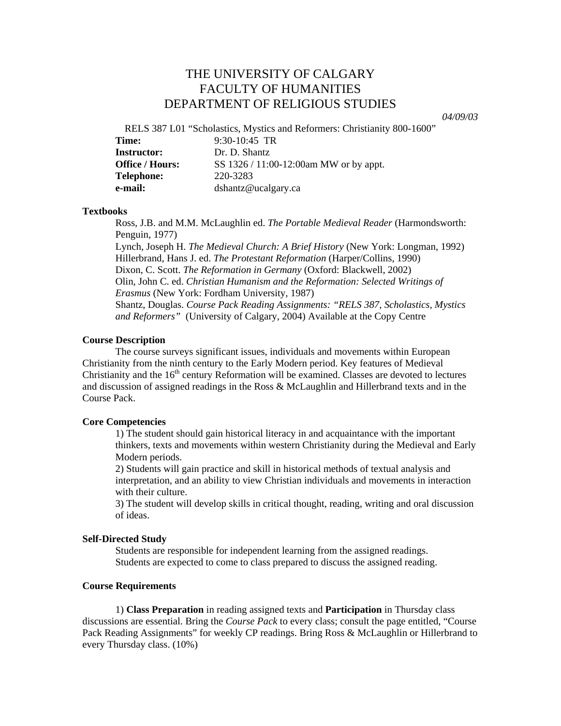# THE UNIVERSITY OF CALGARY FACULTY OF HUMANITIES DEPARTMENT OF RELIGIOUS STUDIES

*04/09/03* 

RELS 387 L01 "Scholastics, Mystics and Reformers: Christianity 800-1600"

| Time:                  | $9:30-10:45$ TR                        |
|------------------------|----------------------------------------|
| <b>Instructor:</b>     | Dr. D. Shantz                          |
| <b>Office / Hours:</b> | SS 1326 / 11:00-12:00am MW or by appt. |
| Telephone:             | 220-3283                               |
| e-mail:                | dshantz@ucalgary.ca                    |

## **Textbooks**

Ross, J.B. and M.M. McLaughlin ed. *The Portable Medieval Reader* (Harmondsworth: Penguin, 1977)

 Lynch, Joseph H. *The Medieval Church: A Brief History* (New York: Longman, 1992) Hillerbrand, Hans J. ed. *The Protestant Reformation* (Harper/Collins, 1990) Dixon, C. Scott. *The Reformation in Germany* (Oxford: Blackwell, 2002) Olin, John C. ed. *Christian Humanism and the Reformation: Selected Writings of Erasmus* (New York: Fordham University, 1987) Shantz, Douglas. *Course Pack Reading Assignments: "RELS 387, Scholastics, Mystics and Reformers"* (University of Calgary, 2004) Available at the Copy Centre

# **Course Description**

The course surveys significant issues, individuals and movements within European Christianity from the ninth century to the Early Modern period. Key features of Medieval Christianity and the  $16<sup>th</sup>$  century Reformation will be examined. Classes are devoted to lectures and discussion of assigned readings in the Ross & McLaughlin and Hillerbrand texts and in the Course Pack.

#### **Core Competencies**

1) The student should gain historical literacy in and acquaintance with the important thinkers, texts and movements within western Christianity during the Medieval and Early Modern periods.

2) Students will gain practice and skill in historical methods of textual analysis and interpretation, and an ability to view Christian individuals and movements in interaction with their culture.

3) The student will develop skills in critical thought, reading, writing and oral discussion of ideas.

#### **Self-Directed Study**

Students are responsible for independent learning from the assigned readings. Students are expected to come to class prepared to discuss the assigned reading.

## **Course Requirements**

1) **Class Preparation** in reading assigned texts and **Participation** in Thursday class discussions are essential. Bring the *Course Pack* to every class; consult the page entitled, "Course Pack Reading Assignments" for weekly CP readings. Bring Ross & McLaughlin or Hillerbrand to every Thursday class. (10%)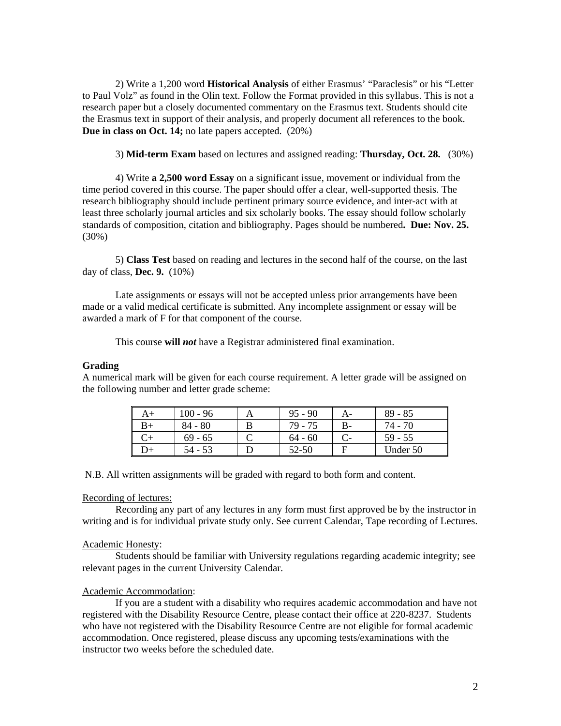2) Write a 1,200 word **Historical Analysis** of either Erasmus' "Paraclesis" or his "Letter to Paul Volz" as found in the Olin text. Follow the Format provided in this syllabus. This is not a research paper but a closely documented commentary on the Erasmus text. Students should cite the Erasmus text in support of their analysis, and properly document all references to the book. **Due in class on Oct. 14;** no late papers accepted. (20%)

3) **Mid-term Exam** based on lectures and assigned reading: **Thursday, Oct. 28.** (30%)

 4) Write **a 2,500 word Essay** on a significant issue, movement or individual from the time period covered in this course. The paper should offer a clear, well-supported thesis. The research bibliography should include pertinent primary source evidence, and inter-act with at least three scholarly journal articles and six scholarly books. The essay should follow scholarly standards of composition, citation and bibliography. Pages should be numbered**. Due: Nov. 25.**  (30%)

 5) **Class Test** based on reading and lectures in the second half of the course, on the last day of class, **Dec. 9.** (10%)

 Late assignments or essays will not be accepted unless prior arrangements have been made or a valid medical certificate is submitted. Any incomplete assignment or essay will be awarded a mark of F for that component of the course.

This course **will** *not* have a Registrar administered final examination.

### **Grading**

A numerical mark will be given for each course requirement. A letter grade will be assigned on the following number and letter grade scheme:

| A+  | $100 - 96$ | $95 - 90$ |    | $89 - 85$ |
|-----|------------|-----------|----|-----------|
| B+  | $84 - 80$  | 79 - 75   | B- | 74 - 70   |
|     | $69 - 65$  | $64 - 60$ |    | $59 - 55$ |
| .)+ | 54 - 53    | 52-50     |    | Under 50  |

N.B. All written assignments will be graded with regard to both form and content.

### Recording of lectures:

Recording any part of any lectures in any form must first approved be by the instructor in writing and is for individual private study only. See current Calendar, Tape recording of Lectures.

### Academic Honesty:

Students should be familiar with University regulations regarding academic integrity; see relevant pages in the current University Calendar.

#### Academic Accommodation:

If you are a student with a disability who requires academic accommodation and have not registered with the Disability Resource Centre, please contact their office at 220-8237. Students who have not registered with the Disability Resource Centre are not eligible for formal academic accommodation. Once registered, please discuss any upcoming tests/examinations with the instructor two weeks before the scheduled date.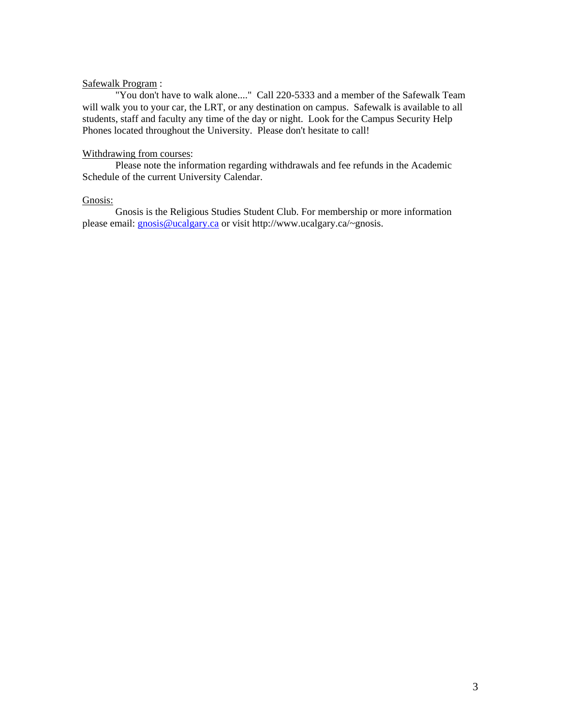### Safewalk Program :

"You don't have to walk alone...." Call 220-5333 and a member of the Safewalk Team will walk you to your car, the LRT, or any destination on campus. Safewalk is available to all students, staff and faculty any time of the day or night. Look for the Campus Security Help Phones located throughout the University. Please don't hesitate to call!

## Withdrawing from courses:

Please note the information regarding withdrawals and fee refunds in the Academic Schedule of the current University Calendar.

## Gnosis:

Gnosis is the Religious Studies Student Club. For membership or more information please email: [gnosis@ucalgary.ca](mailto:gnosis@ucalgary.ca) or visit http://www.ucalgary.ca/~gnosis.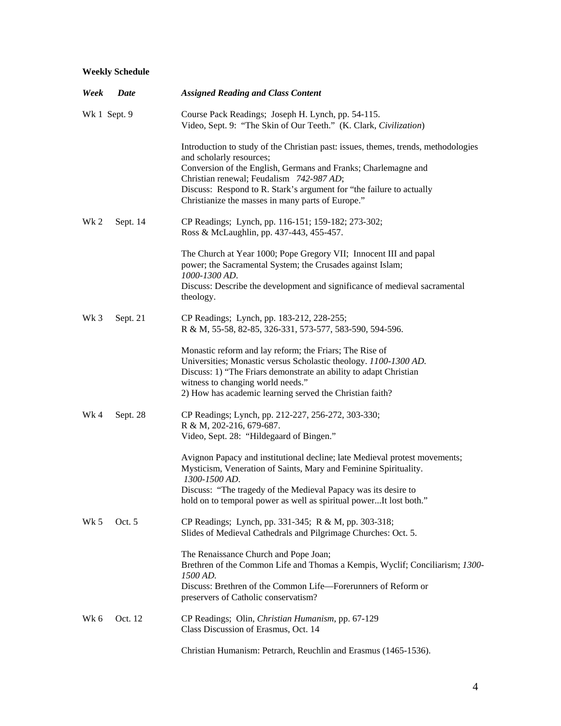# **Weekly Schedule**

| Week            | Date         | <b>Assigned Reading and Class Content</b>                                                                                                      |
|-----------------|--------------|------------------------------------------------------------------------------------------------------------------------------------------------|
|                 | Wk 1 Sept. 9 | Course Pack Readings; Joseph H. Lynch, pp. 54-115.<br>Video, Sept. 9: "The Skin of Our Teeth." (K. Clark, Civilization)                        |
|                 |              | Introduction to study of the Christian past: issues, themes, trends, methodologies<br>and scholarly resources;                                 |
|                 |              | Conversion of the English, Germans and Franks; Charlemagne and                                                                                 |
|                 |              | Christian renewal; Feudalism 742-987 AD;<br>Discuss: Respond to R. Stark's argument for "the failure to actually                               |
|                 |              | Christianize the masses in many parts of Europe."                                                                                              |
| Wk 2            | Sept. 14     | CP Readings; Lynch, pp. 116-151; 159-182; 273-302;                                                                                             |
|                 |              | Ross & McLaughlin, pp. 437-443, 455-457.                                                                                                       |
|                 |              | The Church at Year 1000; Pope Gregory VII; Innocent III and papal                                                                              |
|                 |              | power; the Sacramental System; the Crusades against Islam;<br>1000-1300 AD.                                                                    |
|                 |              | Discuss: Describe the development and significance of medieval sacramental<br>theology.                                                        |
|                 |              |                                                                                                                                                |
| Wk <sub>3</sub> | Sept. 21     | CP Readings; Lynch, pp. 183-212, 228-255;<br>R & M, 55-58, 82-85, 326-331, 573-577, 583-590, 594-596.                                          |
|                 |              | Monastic reform and lay reform; the Friars; The Rise of                                                                                        |
|                 |              | Universities; Monastic versus Scholastic theology. 1100-1300 AD.                                                                               |
|                 |              | Discuss: 1) "The Friars demonstrate an ability to adapt Christian<br>witness to changing world needs."                                         |
|                 |              | 2) How has academic learning served the Christian faith?                                                                                       |
| Wk 4            | Sept. 28     | CP Readings; Lynch, pp. 212-227, 256-272, 303-330;                                                                                             |
|                 |              | R & M, 202-216, 679-687.<br>Video, Sept. 28: "Hildegaard of Bingen."                                                                           |
|                 |              |                                                                                                                                                |
|                 |              | Avignon Papacy and institutional decline; late Medieval protest movements;<br>Mysticism, Veneration of Saints, Mary and Feminine Spirituality. |
|                 |              | 1300-1500 AD.                                                                                                                                  |
|                 |              | Discuss: "The tragedy of the Medieval Papacy was its desire to                                                                                 |
|                 |              | hold on to temporal power as well as spiritual powerIt lost both."                                                                             |
| Wk 5            | Oct. 5       | CP Readings; Lynch, pp. 331-345; R & M, pp. 303-318;<br>Slides of Medieval Cathedrals and Pilgrimage Churches: Oct. 5.                         |
|                 |              |                                                                                                                                                |
|                 |              | The Renaissance Church and Pope Joan;<br>Brethren of the Common Life and Thomas a Kempis, Wyclif; Conciliarism; 1300-                          |
|                 |              | 1500 AD.                                                                                                                                       |
|                 |              | Discuss: Brethren of the Common Life—Forerunners of Reform or<br>preservers of Catholic conservatism?                                          |
| Wk 6            | Oct. 12      | CP Readings; Olin, Christian Humanism, pp. 67-129                                                                                              |
|                 |              | Class Discussion of Erasmus, Oct. 14                                                                                                           |
|                 |              | Christian Humanism: Petrarch, Reuchlin and Erasmus (1465-1536).                                                                                |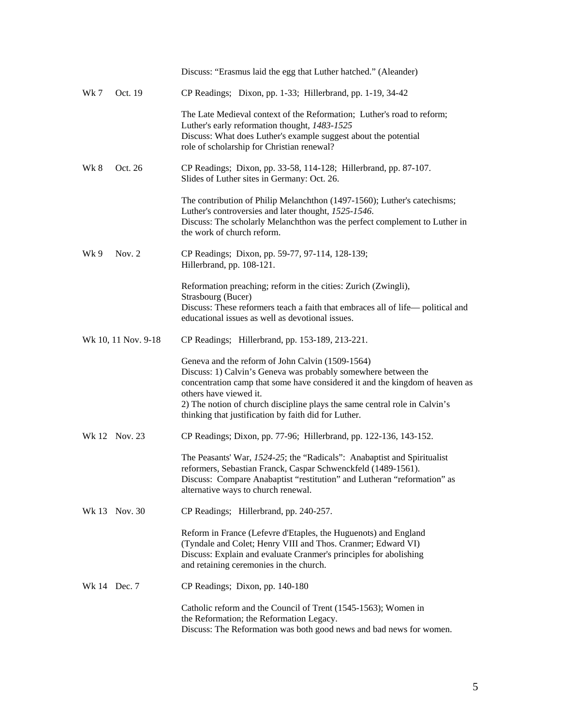|              |                     | Discuss: "Erasmus laid the egg that Luther hatched." (Aleander)                                                                                                                                                                                                                                                                                                    |
|--------------|---------------------|--------------------------------------------------------------------------------------------------------------------------------------------------------------------------------------------------------------------------------------------------------------------------------------------------------------------------------------------------------------------|
| Wk 7         | Oct. 19             | CP Readings; Dixon, pp. 1-33; Hillerbrand, pp. 1-19, 34-42                                                                                                                                                                                                                                                                                                         |
|              |                     | The Late Medieval context of the Reformation; Luther's road to reform;<br>Luther's early reformation thought, 1483-1525<br>Discuss: What does Luther's example suggest about the potential<br>role of scholarship for Christian renewal?                                                                                                                           |
| Wk 8         | Oct. 26             | CP Readings; Dixon, pp. 33-58, 114-128; Hillerbrand, pp. 87-107.<br>Slides of Luther sites in Germany: Oct. 26.                                                                                                                                                                                                                                                    |
|              |                     | The contribution of Philip Melanchthon (1497-1560); Luther's catechisms;<br>Luther's controversies and later thought, 1525-1546.<br>Discuss: The scholarly Melanchthon was the perfect complement to Luther in<br>the work of church reform.                                                                                                                       |
| Wk 9         | Nov. $2$            | CP Readings; Dixon, pp. 59-77, 97-114, 128-139;<br>Hillerbrand, pp. 108-121.                                                                                                                                                                                                                                                                                       |
|              |                     | Reformation preaching; reform in the cities: Zurich (Zwingli),<br>Strasbourg (Bucer)<br>Discuss: These reformers teach a faith that embraces all of life—political and<br>educational issues as well as devotional issues.                                                                                                                                         |
|              | Wk 10, 11 Nov. 9-18 | CP Readings; Hillerbrand, pp. 153-189, 213-221.                                                                                                                                                                                                                                                                                                                    |
|              |                     | Geneva and the reform of John Calvin (1509-1564)<br>Discuss: 1) Calvin's Geneva was probably somewhere between the<br>concentration camp that some have considered it and the kingdom of heaven as<br>others have viewed it.<br>2) The notion of church discipline plays the same central role in Calvin's<br>thinking that justification by faith did for Luther. |
|              | Wk 12 Nov. 23       | CP Readings; Dixon, pp. 77-96; Hillerbrand, pp. 122-136, 143-152.                                                                                                                                                                                                                                                                                                  |
|              |                     | The Peasants' War, 1524-25; the "Radicals": Anabaptist and Spiritualist<br>reformers, Sebastian Franck, Caspar Schwenckfeld (1489-1561).<br>Discuss: Compare Anabaptist "restitution" and Lutheran "reformation" as<br>alternative ways to church renewal.                                                                                                         |
|              | Wk 13 Nov. 30       | CP Readings; Hillerbrand, pp. 240-257.                                                                                                                                                                                                                                                                                                                             |
|              |                     | Reform in France (Lefevre d'Etaples, the Huguenots) and England<br>(Tyndale and Colet; Henry VIII and Thos. Cranmer; Edward VI)<br>Discuss: Explain and evaluate Cranmer's principles for abolishing<br>and retaining ceremonies in the church.                                                                                                                    |
| Wk 14 Dec. 7 |                     | CP Readings; Dixon, pp. 140-180                                                                                                                                                                                                                                                                                                                                    |
|              |                     | Catholic reform and the Council of Trent (1545-1563); Women in<br>the Reformation; the Reformation Legacy.<br>Discuss: The Reformation was both good news and bad news for women.                                                                                                                                                                                  |